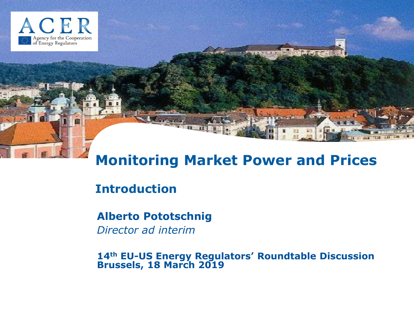

# **Monitoring Market Power and Prices**

## **Introduction**

## **Alberto Pototschnig**

*Director ad interim*

**14th EU-US Energy Regulators' Roundtable Discussion Brussels, 18 March 2019**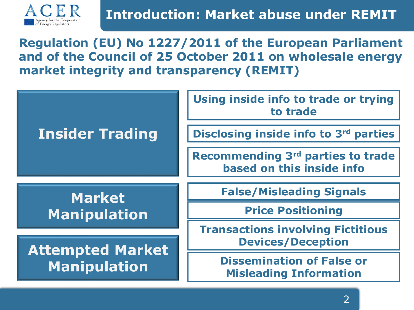

**Regulation (EU) No 1227/2011 of the European Parliament and of the Council of 25 October 2011 on wholesale energy market integrity and transparency (REMIT)**

| <b>Insider Trading</b>                         | Using inside info to trade or trying<br>to trade                     |
|------------------------------------------------|----------------------------------------------------------------------|
|                                                | Disclosing inside info to 3rd parties                                |
|                                                | Recommending 3rd parties to trade<br>based on this inside info       |
| <b>Market</b><br>Manipulation                  | <b>False/Misleading Signals</b>                                      |
|                                                | <b>Price Positioning</b>                                             |
| <b>Attempted Market</b><br><b>Manipulation</b> | <b>Transactions involving Fictitious</b><br><b>Devices/Deception</b> |
|                                                | <b>Dissemination of False or</b><br><b>Misleading Information</b>    |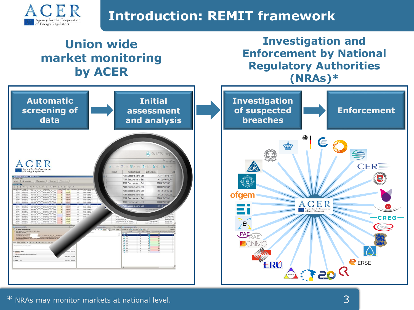

# **Introduction: REMIT framework**

## **Union wide market monitoring by ACER**

### **Investigation and Enforcement by National Regulatory Authorities (NRAs)\***

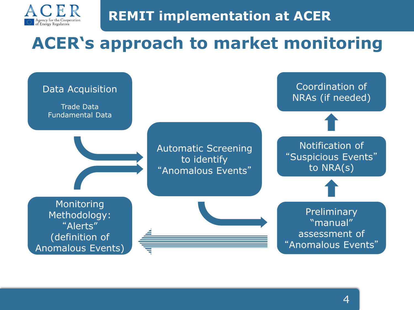

# **ACER's approach to market monitoring**

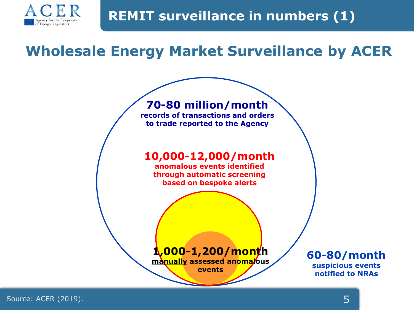

# **Wholesale Energy Market Surveillance by ACER**

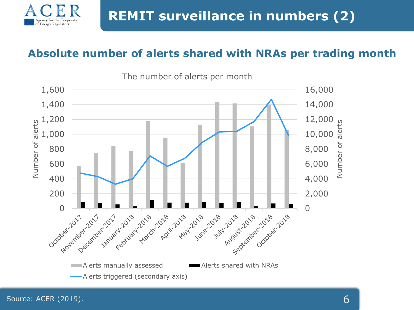

#### **Absolute number of alerts shared with NRAs per trading month**



Energy Regulators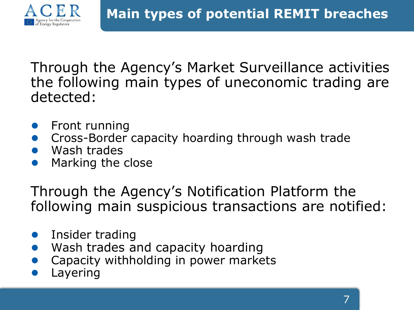

Through the Agency's Market Surveillance activities the following main types of uneconomic trading are detected:

- **Front running**
- Cross-Border capacity hoarding through wash trade
- Wash trades
- Marking the close

Through the Agency's Notification Platform the following main suspicious transactions are notified:

- Insider trading
- Wash trades and capacity hoarding
- Capacity withholding in power markets
- Layering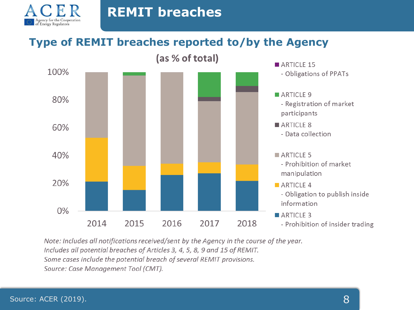

## **Type of REMIT breaches reported to/by the Agency**



Note: Includes all notifications received/sent by the Agency in the course of the year. Includes all potential breaches of Articles 3, 4, 5, 8, 9 and 15 of REMIT. Some cases include the potential breach of several REMIT provisions. Source: Case Management Tool (CMT).

Agency for the Coopera<br>of Energy Regulators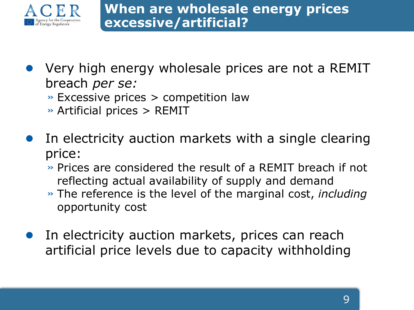

- Very high energy wholesale prices are not a REMIT breach *per se:*
	- $\rightarrow$  Excessive prices  $>$  competition law
	- » Artificial prices > REMIT
- In electricity auction markets with a single clearing price:
	- » Prices are considered the result of a REMIT breach if not reflecting actual availability of supply and demand
	- » The reference is the level of the marginal cost, *including* opportunity cost
- In electricity auction markets, prices can reach artificial price levels due to capacity withholding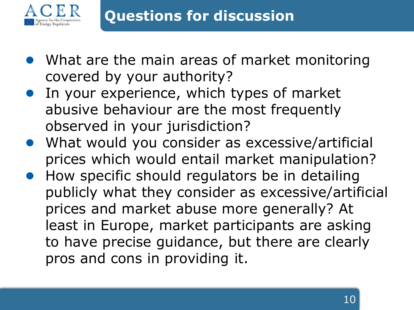

- What are the main areas of market monitoring covered by your authority?
- In your experience, which types of market abusive behaviour are the most frequently observed in your jurisdiction?
- What would you consider as excessive/artificial prices which would entail market manipulation?
- How specific should regulators be in detailing publicly what they consider as excessive/artificial prices and market abuse more generally? At least in Europe, market participants are asking to have precise guidance, but there are clearly pros and cons in providing it.